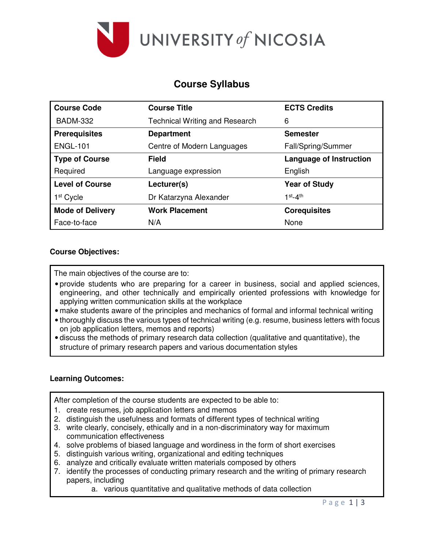

# **Course Syllabus**

| <b>Course Code</b>      | <b>Course Title</b>                   | <b>ECTS Credits</b>            |  |  |
|-------------------------|---------------------------------------|--------------------------------|--|--|
| <b>BADM-332</b>         | <b>Technical Writing and Research</b> | 6                              |  |  |
| <b>Prerequisites</b>    | <b>Department</b>                     | <b>Semester</b>                |  |  |
| <b>ENGL-101</b>         | Centre of Modern Languages            | Fall/Spring/Summer             |  |  |
| <b>Type of Course</b>   | Field                                 | <b>Language of Instruction</b> |  |  |
| Required                | Language expression                   | English                        |  |  |
| <b>Level of Course</b>  | Lecturer(s)                           | <b>Year of Study</b>           |  |  |
| 1 <sup>st</sup> Cycle   | Dr Katarzyna Alexander                | $1st-4th$                      |  |  |
| <b>Mode of Delivery</b> | <b>Work Placement</b>                 | <b>Corequisites</b>            |  |  |
| Face-to-face            | N/A                                   | None                           |  |  |

## **Course Objectives:**

The main objectives of the course are to:

- provide students who are preparing for a career in business, social and applied sciences, engineering, and other technically and empirically oriented professions with knowledge for applying written communication skills at the workplace
- make students aware of the principles and mechanics of formal and informal technical writing
- thoroughly discuss the various types of technical writing (e.g. resume, business letters with focus on job application letters, memos and reports)
- discuss the methods of primary research data collection (qualitative and quantitative), the structure of primary research papers and various documentation styles

#### **Learning Outcomes:**

After completion of the course students are expected to be able to:

- 1. create resumes, job application letters and memos
- 2. distinguish the usefulness and formats of different types of technical writing
- 3. write clearly, concisely, ethically and in a non-discriminatory way for maximum communication effectiveness
- 4. solve problems of biased language and wordiness in the form of short exercises
- 5. distinguish various writing, organizational and editing techniques
- 6. analyze and critically evaluate written materials composed by others
- 7. identify the processes of conducting primary research and the writing of primary research papers, including
	- a. various quantitative and qualitative methods of data collection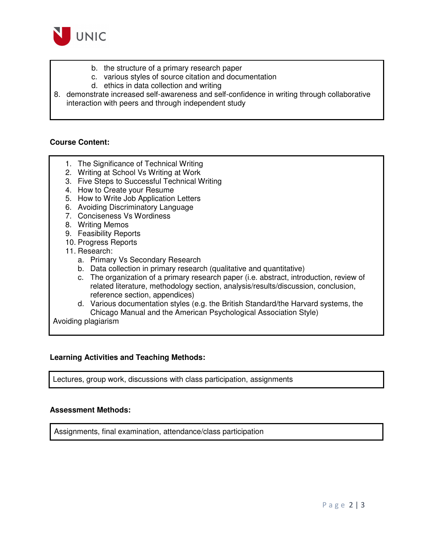

- b. the structure of a primary research paper
- c. various styles of source citation and documentation
- d. ethics in data collection and writing
- 8. demonstrate increased self-awareness and self-confidence in writing through collaborative interaction with peers and through independent study

## **Course Content:**

- 1. The Significance of Technical Writing
- 2. Writing at School Vs Writing at Work
- 3. Five Steps to Successful Technical Writing
- 4. How to Create your Resume
- 5. How to Write Job Application Letters
- 6. Avoiding Discriminatory Language
- 7. Conciseness Vs Wordiness
- 8. Writing Memos
- 9. Feasibility Reports
- 10. Progress Reports
- 11. Research:
	- a. Primary Vs Secondary Research
	- b. Data collection in primary research (qualitative and quantitative)
	- c. The organization of a primary research paper (i.e. abstract, introduction, review of related literature, methodology section, analysis/results/discussion, conclusion, reference section, appendices)
	- d. Various documentation styles (e.g. the British Standard/the Harvard systems, the Chicago Manual and the American Psychological Association Style)

Avoiding plagiarism

#### **Learning Activities and Teaching Methods:**

Lectures, group work, discussions with class participation, assignments

## **Assessment Methods:**

Assignments, final examination, attendance/class participation